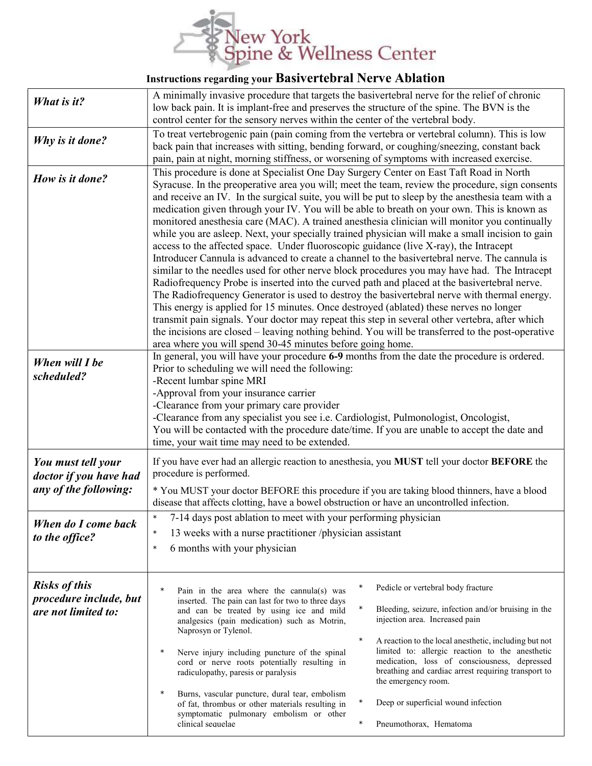

## Instructions regarding your Basivertebral Nerve Ablation

| What is it?                                                           | A minimally invasive procedure that targets the basivertebral nerve for the relief of chronic<br>low back pain. It is implant-free and preserves the structure of the spine. The BVN is the<br>control center for the sensory nerves within the center of the vertebral body.                                                                                                                                                                                                                                                                                                                                                                                                                                                                                                                                                                                                                                                                                                                                                                                                                                                                                                                                                                                                                                                                                                                                                                                                                                                                         |
|-----------------------------------------------------------------------|-------------------------------------------------------------------------------------------------------------------------------------------------------------------------------------------------------------------------------------------------------------------------------------------------------------------------------------------------------------------------------------------------------------------------------------------------------------------------------------------------------------------------------------------------------------------------------------------------------------------------------------------------------------------------------------------------------------------------------------------------------------------------------------------------------------------------------------------------------------------------------------------------------------------------------------------------------------------------------------------------------------------------------------------------------------------------------------------------------------------------------------------------------------------------------------------------------------------------------------------------------------------------------------------------------------------------------------------------------------------------------------------------------------------------------------------------------------------------------------------------------------------------------------------------------|
| Why is it done?                                                       | To treat vertebrogenic pain (pain coming from the vertebra or vertebral column). This is low<br>back pain that increases with sitting, bending forward, or coughing/sneezing, constant back<br>pain, pain at night, morning stiffness, or worsening of symptoms with increased exercise.                                                                                                                                                                                                                                                                                                                                                                                                                                                                                                                                                                                                                                                                                                                                                                                                                                                                                                                                                                                                                                                                                                                                                                                                                                                              |
| How is it done?<br>When will I be                                     | This procedure is done at Specialist One Day Surgery Center on East Taft Road in North<br>Syracuse. In the preoperative area you will; meet the team, review the procedure, sign consents<br>and receive an IV. In the surgical suite, you will be put to sleep by the anesthesia team with a<br>medication given through your IV. You will be able to breath on your own. This is known as<br>monitored anesthesia care (MAC). A trained anesthesia clinician will monitor you continually<br>while you are asleep. Next, your specially trained physician will make a small incision to gain<br>access to the affected space. Under fluoroscopic guidance (live X-ray), the Intracept<br>Introducer Cannula is advanced to create a channel to the basivertebral nerve. The cannula is<br>similar to the needles used for other nerve block procedures you may have had. The Intracept<br>Radiofrequency Probe is inserted into the curved path and placed at the basivertebral nerve.<br>The Radiofrequency Generator is used to destroy the basivertebral nerve with thermal energy.<br>This energy is applied for 15 minutes. Once destroyed (ablated) these nerves no longer<br>transmit pain signals. Your doctor may repeat this step in several other vertebra, after which<br>the incisions are closed – leaving nothing behind. You will be transferred to the post-operative<br>area where you will spend 30-45 minutes before going home.<br>In general, you will have your procedure 6-9 months from the date the procedure is ordered. |
| scheduled?                                                            | Prior to scheduling we will need the following:<br>-Recent lumbar spine MRI<br>-Approval from your insurance carrier<br>-Clearance from your primary care provider<br>-Clearance from any specialist you see i.e. Cardiologist, Pulmonologist, Oncologist,<br>You will be contacted with the procedure date/time. If you are unable to accept the date and<br>time, your wait time may need to be extended.                                                                                                                                                                                                                                                                                                                                                                                                                                                                                                                                                                                                                                                                                                                                                                                                                                                                                                                                                                                                                                                                                                                                           |
| You must tell your<br>doctor if you have had<br>any of the following: | If you have ever had an allergic reaction to anesthesia, you MUST tell your doctor BEFORE the<br>procedure is performed.<br>* You MUST your doctor BEFORE this procedure if you are taking blood thinners, have a blood<br>disease that affects clotting, have a bowel obstruction or have an uncontrolled infection.                                                                                                                                                                                                                                                                                                                                                                                                                                                                                                                                                                                                                                                                                                                                                                                                                                                                                                                                                                                                                                                                                                                                                                                                                                 |
| When do I come back<br>to the office?                                 | 7-14 days post ablation to meet with your performing physician<br>$\ast$<br>13 weeks with a nurse practitioner /physician assistant<br>$\ast$<br>6 months with your physician<br>$\ast$                                                                                                                                                                                                                                                                                                                                                                                                                                                                                                                                                                                                                                                                                                                                                                                                                                                                                                                                                                                                                                                                                                                                                                                                                                                                                                                                                               |
| <b>Risks of this</b><br>procedure include, but<br>are not limited to: | $\ast$<br>Pedicle or vertebral body fracture<br>$\ast$<br>Pain in the area where the cannula(s) was<br>inserted. The pain can last for two to three days<br>$\ast$<br>Bleeding, seizure, infection and/or bruising in the<br>and can be treated by using ice and mild<br>injection area. Increased pain<br>analgesics (pain medication) such as Motrin,<br>Naprosyn or Tylenol.<br>$\ast$<br>A reaction to the local anesthetic, including but not<br>limited to: allergic reaction to the anesthetic<br>$\ast$<br>Nerve injury including puncture of the spinal<br>medication, loss of consciousness, depressed<br>cord or nerve roots potentially resulting in<br>breathing and cardiac arrest requiring transport to<br>radiculopathy, paresis or paralysis<br>the emergency room.<br>$\ast$<br>Burns, vascular puncture, dural tear, embolism<br>$\ast$<br>Deep or superficial wound infection<br>of fat, thrombus or other materials resulting in<br>symptomatic pulmonary embolism or other<br>clinical sequelae<br>$\ast$<br>Pneumothorax, Hematoma                                                                                                                                                                                                                                                                                                                                                                                                                                                                                            |